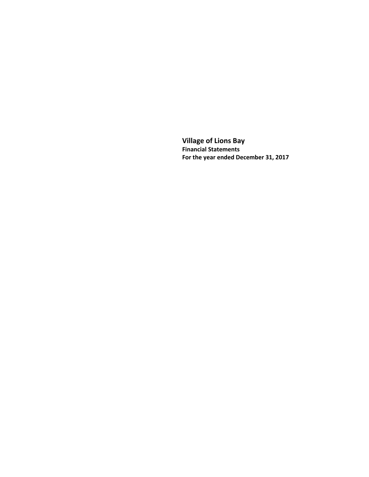**Village of Lions Bay Financial Statements For the year ended December 31, 2017**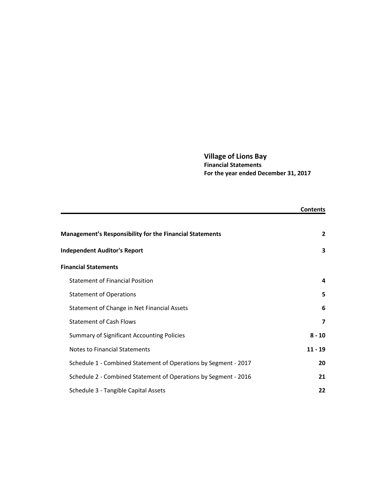# **Village of Lions Bay Financial Statements For the year ended December 31, 2017**

|                                                                 | <b>Contents</b>         |
|-----------------------------------------------------------------|-------------------------|
| <b>Management's Responsibility for the Financial Statements</b> | $\overline{2}$          |
| <b>Independent Auditor's Report</b>                             | 3                       |
| <b>Financial Statements</b>                                     |                         |
| <b>Statement of Financial Position</b>                          | 4                       |
| <b>Statement of Operations</b>                                  | 5                       |
| Statement of Change in Net Financial Assets                     | 6                       |
| <b>Statement of Cash Flows</b>                                  | $\overline{\mathbf{z}}$ |
| <b>Summary of Significant Accounting Policies</b>               | $8 - 10$                |
| <b>Notes to Financial Statements</b>                            | $11 - 19$               |
| Schedule 1 - Combined Statement of Operations by Segment - 2017 | 20                      |
| Schedule 2 - Combined Statement of Operations by Segment - 2016 | 21                      |
| Schedule 3 - Tangible Capital Assets                            | 22                      |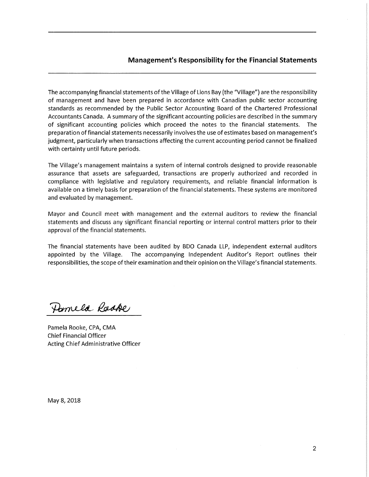## **Management's Responsibility for the Financial Statements**

The accompanying financial statements of the Village of Lions Bay (the "Village") are the responsibility of management and have been prepared in accordance with Canadian public sector accounting standards as recommended by the Public Sector Accounting Board of the Chartered Professional Accountants Canada. A summary of the significant accounting policies are described in the summary of significant accounting policies which proceed the notes to the financial statements. The preparation of financial statements necessarily involves the use of estimates based on management's judgment, particularly when transactions affecting the current accounting period cannot be finalized with certainty until future periods.

The Village's management maintains a system of internal controls designed to provide reasonable assurance that assets are safeguarded, transactions are properly authorized and recorded in compliance with legislative and regulatory requirements, and reliable financial information is available on a timely basis for preparation of the financial statements. These systems are monitored and evaluated by management.

Mayor and Council meet with management and the external auditors to review the financial statements and discuss any significant financial reporting or internal control matters prior to their approval of the financial statements.

The financial statements have been audited by BDO Canada LLP, independent external auditors appointed by the Village. The accompanying Independent Auditor's Report outlines their responsibilities, the scope of their examination and their opinion on the Village's financial statements.

Domela Raske

Pamela Rooke, CPA, CMA **Chief Financial Officer** Acting Chief Administrative Officer

May 8, 2018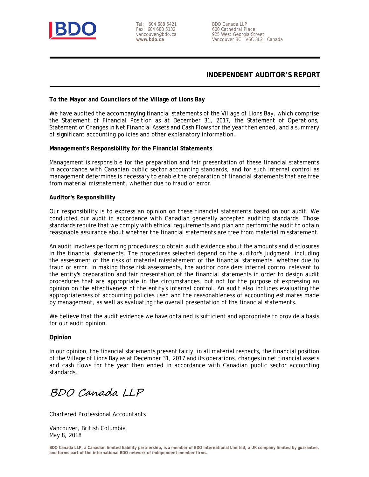

Tel: 604 688 5421 Fax: 604 688 5132 vancouver@bdo.ca **www.bdo.ca**

BDO Canada LLP 600 Cathedral Place 925 West Georgia Street Vancouver BC V6C 3L2 Canada

# **INDEPENDENT AUDITOR'S REPORT**

### **To the Mayor and Councilors of the Village of Lions Bay**

We have audited the accompanying financial statements of the Village of Lions Bay, which comprise the Statement of Financial Position as at December 31, 2017, the Statement of Operations, Statement of Changes in Net Financial Assets and Cash Flows for the year then ended, and a summary of significant accounting policies and other explanatory information.

### **Management's Responsibility for the Financial Statements**

Management is responsible for the preparation and fair presentation of these financial statements in accordance with Canadian public sector accounting standards, and for such internal control as management determines is necessary to enable the preparation of financial statements that are free from material misstatement, whether due to fraud or error.

## **Auditor's Responsibility**

Our responsibility is to express an opinion on these financial statements based on our audit. We conducted our audit in accordance with Canadian generally accepted auditing standards. Those standards require that we comply with ethical requirements and plan and perform the audit to obtain reasonable assurance about whether the financial statements are free from material misstatement.

An audit involves performing procedures to obtain audit evidence about the amounts and disclosures in the financial statements. The procedures selected depend on the auditor's judgment, including the assessment of the risks of material misstatement of the financial statements, whether due to fraud or error. In making those risk assessments, the auditor considers internal control relevant to the entity's preparation and fair presentation of the financial statements in order to design audit procedures that are appropriate in the circumstances, but not for the purpose of expressing an opinion on the effectiveness of the entity's internal control. An audit also includes evaluating the appropriateness of accounting policies used and the reasonableness of accounting estimates made by management, as well as evaluating the overall presentation of the financial statements.

We believe that the audit evidence we have obtained is sufficient and appropriate to provide a basis for our audit opinion.

### **Opinion**

In our opinion, the financial statements present fairly, in all material respects, the financial position of the Village of Lions Bay as at December 31, 2017 and its operations, changes in net financial assets and cash flows for the year then ended in accordance with Canadian public sector accounting standards.

BDO Canada LLP

Chartered Professional Accountants

Vancouver, British Columbia May 8, 2018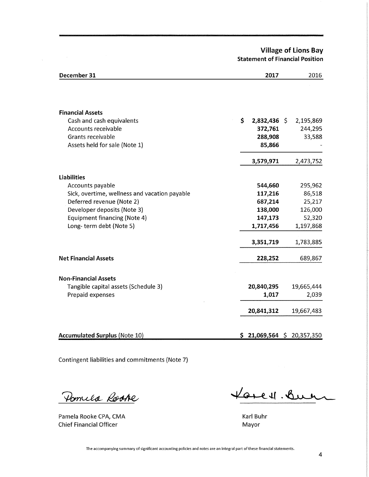**Village of Lions Bay Statement of Financial Position** 

| December 31                                   | 2017                        | 2016       |
|-----------------------------------------------|-----------------------------|------------|
|                                               |                             |            |
| <b>Financial Assets</b>                       |                             |            |
| Cash and cash equivalents                     | \$<br>$2,832,436$ \$        | 2,195,869  |
| Accounts receivable                           | 372,761                     | 244,295    |
| Grants receivable                             | 288,908                     | 33,588     |
| Assets held for sale (Note 1)                 | 85,866                      |            |
|                                               | 3,579,971                   | 2,473,752  |
| <b>Liabilities</b>                            |                             |            |
| Accounts payable                              | 544,660                     | 295,962    |
| Sick, overtime, wellness and vacation payable | 117,216                     | 86,518     |
| Deferred revenue (Note 2)                     | 687,214                     | 25,217     |
| Developer deposits (Note 3)                   | 138,000                     | 126,000    |
| <b>Equipment financing (Note 4)</b>           | 147,173                     | 52,320     |
| Long-term debt (Note 5)                       | 1,717,456                   | 1,197,868  |
|                                               | 3,351,719                   | 1,783,885  |
| <b>Net Financial Assets</b>                   | 228,252                     | 689,867    |
| <b>Non-Financial Assets</b>                   |                             |            |
| Tangible capital assets (Schedule 3)          | 20,840,295                  | 19,665,444 |
| Prepaid expenses                              | 1,017                       | 2,039      |
|                                               | 20,841,312                  | 19,667,483 |
|                                               |                             |            |
| <b>Accumulated Surplus (Note 10)</b>          | $$21,069,564 \ $20,357,350$ |            |

Contingent liabilities and commitments (Note 7)

Pomila Rooke

Pamela Rooke CPA, CMA **Chief Financial Officer** 

 $\label{eq:2.1} \frac{1}{\sqrt{2\pi}}\int_{\mathbb{R}^{2}}\left|\frac{d\mu}{\mu}\right|^{2}d\mu\leq \frac{1}{2\sqrt{2\pi}}\int_{\mathbb{R}^{2}}\left|\frac{d\mu}{\mu}\right|^{2}d\mu.$ 

<u> Korest Buen</u>

Karl Buhr Mayor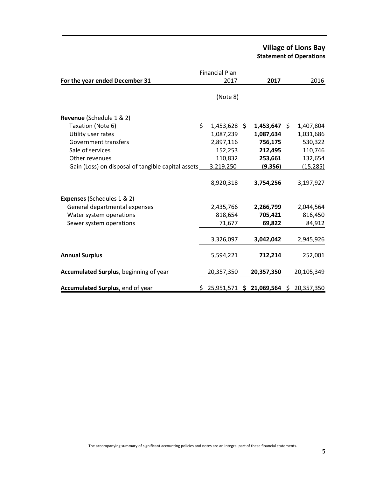# **Village of Lions Bay Statement of Operations**

|                                                       | <b>Financial Plan</b> |                                           |            |
|-------------------------------------------------------|-----------------------|-------------------------------------------|------------|
| For the year ended December 31                        | 2017                  | 2017                                      | 2016       |
|                                                       | (Note 8)              |                                           |            |
| Revenue (Schedule 1 & 2)                              |                       |                                           |            |
| Taxation (Note 6)                                     | \$<br>$1,453,628$ \$  | $1,453,647$ \$                            | 1,407,804  |
| Utility user rates                                    | 1,087,239             | 1,087,634                                 | 1,031,686  |
| Government transfers                                  | 2,897,116             | 756,175                                   | 530,322    |
| Sale of services                                      | 152,253               | 212,495                                   | 110,746    |
| Other revenues                                        | 110,832               | 253,661                                   | 132,654    |
| Gain (Loss) on disposal of tangible capital assets __ | 3,219,250             | (9, 356)                                  | (15, 285)  |
|                                                       | 8,920,318             | 3,754,256                                 | 3,197,927  |
| <b>Expenses (Schedules 1 &amp; 2)</b>                 |                       |                                           |            |
| General departmental expenses                         | 2,435,766             | 2,266,799                                 | 2,044,564  |
| Water system operations                               | 818,654               | 705,421                                   | 816,450    |
| Sewer system operations                               | 71,677                | 69,822                                    | 84,912     |
|                                                       | 3,326,097             | 3,042,042                                 | 2,945,926  |
| <b>Annual Surplus</b>                                 | 5,594,221             | 712,214                                   | 252,001    |
| Accumulated Surplus, beginning of year                | 20,357,350            | 20,357,350                                | 20,105,349 |
| Accumulated Surplus, end of year                      |                       | $$25,951,571$ $$21,069,564$ $$20,357,350$ |            |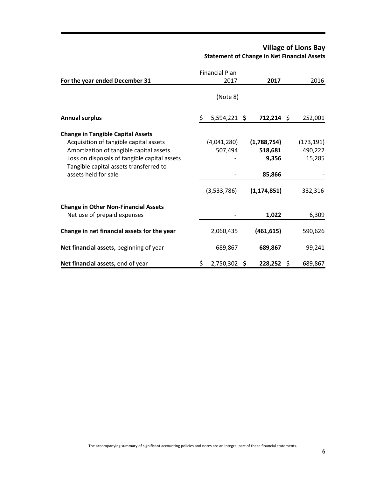# **Village of Lions Bay Statement of Change in Net Financial Assets**

|                                                                |    | <b>Financial Plan</b> |               |            |
|----------------------------------------------------------------|----|-----------------------|---------------|------------|
| For the year ended December 31                                 |    | 2017                  | 2017          | 2016       |
|                                                                |    | (Note 8)              |               |            |
| <b>Annual surplus</b>                                          | \$ | $5,594,221$ \$        | $712,214$ \$  | 252,001    |
| <b>Change in Tangible Capital Assets</b>                       |    |                       |               |            |
| Acquisition of tangible capital assets                         |    | (4,041,280)           | (1,788,754)   | (173, 191) |
| Amortization of tangible capital assets                        |    | 507,494               | 518,681       | 490,222    |
| Loss on disposals of tangible capital assets                   |    |                       | 9,356         | 15,285     |
| Tangible capital assets transferred to<br>assets held for sale |    |                       | 85,866        |            |
|                                                                |    | (3,533,786)           | (1, 174, 851) | 332,316    |
| <b>Change in Other Non-Financial Assets</b>                    |    |                       |               |            |
| Net use of prepaid expenses                                    |    |                       | 1,022         | 6,309      |
| Change in net financial assets for the year                    |    | 2,060,435             | (461, 615)    | 590,626    |
| Net financial assets, beginning of year                        |    | 689,867               | 689,867       | 99,241     |
| Net financial assets, end of year                              | S  | 2,750,302 \$          | $228,252$ \$  | 689,867    |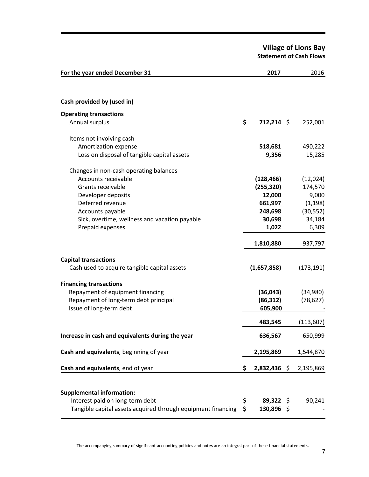**Village of Lions Bay Statement of Cash Flows**

| For the year ended December 31                               | 2017                 | 2016       |
|--------------------------------------------------------------|----------------------|------------|
|                                                              |                      |            |
| Cash provided by (used in)                                   |                      |            |
| <b>Operating transactions</b>                                |                      |            |
| Annual surplus                                               | \$<br>$712,214$ \$   | 252,001    |
| Items not involving cash                                     |                      |            |
| Amortization expense                                         | 518,681              | 490,222    |
| Loss on disposal of tangible capital assets                  | 9,356                | 15,285     |
| Changes in non-cash operating balances                       |                      |            |
| Accounts receivable                                          | (128, 466)           | (12,024)   |
| Grants receivable                                            | (255, 320)           | 174,570    |
| Developer deposits                                           | 12,000               | 9,000      |
| Deferred revenue                                             | 661,997              | (1, 198)   |
| Accounts payable                                             | 248,698              | (30, 552)  |
| Sick, overtime, wellness and vacation payable                | 30,698               | 34,184     |
| Prepaid expenses                                             | 1,022                | 6,309      |
|                                                              | 1,810,880            | 937,797    |
| <b>Capital transactions</b>                                  |                      |            |
| Cash used to acquire tangible capital assets                 | (1,657,858)          | (173, 191) |
| <b>Financing transactions</b>                                |                      |            |
| Repayment of equipment financing                             | (36, 043)            | (34,980)   |
| Repayment of long-term debt principal                        | (86, 312)            | (78, 627)  |
| Issue of long-term debt                                      | 605,900              |            |
|                                                              | 483,545              | (113, 607) |
| Increase in cash and equivalents during the year             | 636,567              | 650,999    |
| Cash and equivalents, beginning of year                      | 2,195,869            | 1,544,870  |
|                                                              |                      |            |
| Cash and equivalents, end of year                            | \$<br>$2,832,436$ \$ | 2,195,869  |
|                                                              |                      |            |
| <b>Supplemental information:</b>                             |                      |            |
| Interest paid on long-term debt                              | \$<br>$89,322$ \$    | 90,241     |
| Tangible capital assets acquired through equipment financing | \$<br>130,896 \$     |            |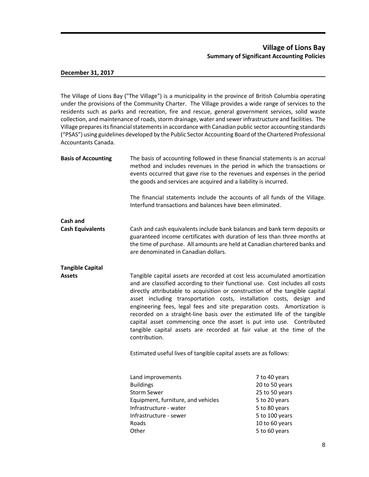# **Village of Lions Bay Summary of Significant Accounting Policies**

### **December 31, 2017**

The Village of Lions Bay ("The Village") is a municipality in the province of British Columbia operating under the provisions of the Community Charter. The Village provides a wide range of services to the residents such as parks and recreation, fire and rescue, general government services, solid waste collection, and maintenance of roads, storm drainage, water and sewer infrastructure and facilities. The Village prepares its financial statements in accordance with Canadian public sector accounting standards ("PSAS") using guidelines developed by the Public Sector Accounting Board of the Chartered Professional Accountants Canada.

| <b>Basis of Accounting</b> | The basis of accounting followed in these financial statements is an accrual<br>method and includes revenues in the period in which the transactions or<br>events occurred that gave rise to the revenues and expenses in the period<br>the goods and services are acquired and a liability is incurred.                                                                                                                                                                                                                                                                                                                                                                                                            |                                                                                                                                          |  |  |  |
|----------------------------|---------------------------------------------------------------------------------------------------------------------------------------------------------------------------------------------------------------------------------------------------------------------------------------------------------------------------------------------------------------------------------------------------------------------------------------------------------------------------------------------------------------------------------------------------------------------------------------------------------------------------------------------------------------------------------------------------------------------|------------------------------------------------------------------------------------------------------------------------------------------|--|--|--|
|                            | The financial statements include the accounts of all funds of the Village.<br>Interfund transactions and balances have been eliminated.                                                                                                                                                                                                                                                                                                                                                                                                                                                                                                                                                                             |                                                                                                                                          |  |  |  |
| Cash and                   |                                                                                                                                                                                                                                                                                                                                                                                                                                                                                                                                                                                                                                                                                                                     |                                                                                                                                          |  |  |  |
| <b>Cash Equivalents</b>    | Cash and cash equivalents include bank balances and bank term deposits or<br>guaranteed income certificates with duration of less than three months at<br>the time of purchase. All amounts are held at Canadian chartered banks and<br>are denominated in Canadian dollars.                                                                                                                                                                                                                                                                                                                                                                                                                                        |                                                                                                                                          |  |  |  |
| <b>Tangible Capital</b>    |                                                                                                                                                                                                                                                                                                                                                                                                                                                                                                                                                                                                                                                                                                                     |                                                                                                                                          |  |  |  |
| <b>Assets</b>              | Tangible capital assets are recorded at cost less accumulated amortization<br>and are classified according to their functional use. Cost includes all costs<br>directly attributable to acquisition or construction of the tangible capital<br>asset including transportation costs, installation costs, design and<br>engineering fees, legal fees and site preparation costs. Amortization is<br>recorded on a straight-line basis over the estimated life of the tangible<br>capital asset commencing once the asset is put into use. Contributed<br>tangible capital assets are recorded at fair value at the time of the<br>contribution.<br>Estimated useful lives of tangible capital assets are as follows: |                                                                                                                                          |  |  |  |
|                            | Land improvements<br><b>Buildings</b><br><b>Storm Sewer</b><br>Equipment, furniture, and vehicles<br>Infrastructure - water<br>Infrastructure - sewer<br>Roads<br>Other                                                                                                                                                                                                                                                                                                                                                                                                                                                                                                                                             | 7 to 40 years<br>20 to 50 years<br>25 to 50 years<br>5 to 20 years<br>5 to 80 years<br>5 to 100 years<br>10 to 60 years<br>5 to 60 years |  |  |  |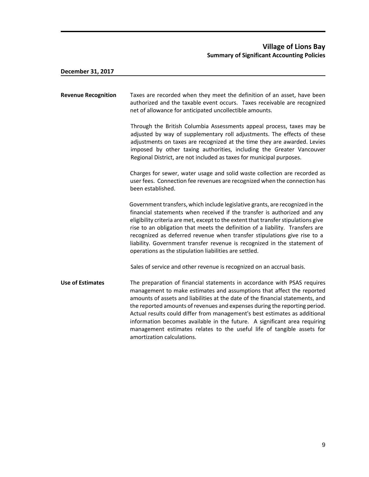| <b>Revenue Recognition</b> | Taxes are recorded when they meet the definition of an asset, have been<br>authorized and the taxable event occurs. Taxes receivable are recognized<br>net of allowance for anticipated uncollectible amounts.                                                                                                                                                                                                                                                                                                                                                                       |
|----------------------------|--------------------------------------------------------------------------------------------------------------------------------------------------------------------------------------------------------------------------------------------------------------------------------------------------------------------------------------------------------------------------------------------------------------------------------------------------------------------------------------------------------------------------------------------------------------------------------------|
|                            | Through the British Columbia Assessments appeal process, taxes may be<br>adjusted by way of supplementary roll adjustments. The effects of these<br>adjustments on taxes are recognized at the time they are awarded. Levies<br>imposed by other taxing authorities, including the Greater Vancouver<br>Regional District, are not included as taxes for municipal purposes.                                                                                                                                                                                                         |
|                            | Charges for sewer, water usage and solid waste collection are recorded as<br>user fees. Connection fee revenues are recognized when the connection has<br>been established.                                                                                                                                                                                                                                                                                                                                                                                                          |
|                            | Government transfers, which include legislative grants, are recognized in the<br>financial statements when received if the transfer is authorized and any<br>eligibility criteria are met, except to the extent that transfer stipulations give<br>rise to an obligation that meets the definition of a liability. Transfers are<br>recognized as deferred revenue when transfer stipulations give rise to a<br>liability. Government transfer revenue is recognized in the statement of<br>operations as the stipulation liabilities are settled.                                   |
|                            | Sales of service and other revenue is recognized on an accrual basis.                                                                                                                                                                                                                                                                                                                                                                                                                                                                                                                |
| <b>Use of Estimates</b>    | The preparation of financial statements in accordance with PSAS requires<br>management to make estimates and assumptions that affect the reported<br>amounts of assets and liabilities at the date of the financial statements, and<br>the reported amounts of revenues and expenses during the reporting period.<br>Actual results could differ from management's best estimates as additional<br>information becomes available in the future. A significant area requiring<br>management estimates relates to the useful life of tangible assets for<br>amortization calculations. |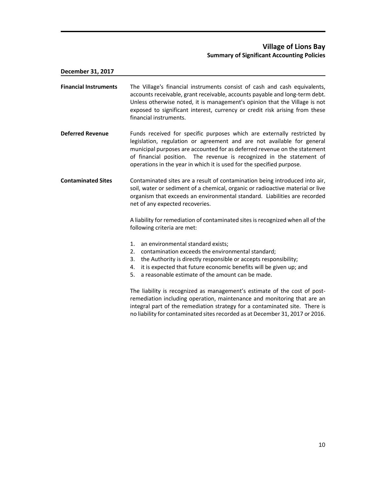# **Village of Lions Bay Summary of Significant Accounting Policies**

**December 31, 2017 Financial Instruments** The Village's financial instruments consist of cash and cash equivalents, accounts receivable, grant receivable, accounts payable and long-term debt. Unless otherwise noted, it is management's opinion that the Village is not exposed to significant interest, currency or credit risk arising from these financial instruments. **Deferred Revenue** Funds received for specific purposes which are externally restricted by legislation, regulation or agreement and are not available for general municipal purposes are accounted for as deferred revenue on the statement of financial position. The revenue is recognized in the statement of operations in the year in which it is used for the specified purpose. **Contaminated Sites** Contaminated sites are a result of contamination being introduced into air, soil, water or sediment of a chemical, organic or radioactive material or live organism that exceeds an environmental standard. Liabilities are recorded net of any expected recoveries. A liability for remediation of contaminated sites is recognized when all of the following criteria are met: 1. an environmental standard exists; 2. contamination exceeds the environmental standard; 3. the Authority is directly responsible or accepts responsibility; 4. it is expected that future economic benefits will be given up; and 5. a reasonable estimate of the amount can be made. The liability is recognized as management's estimate of the cost of postremediation including operation, maintenance and monitoring that are an integral part of the remediation strategy for a contaminated site. There is no liability for contaminated sites recorded as at December 31, 2017 or 2016.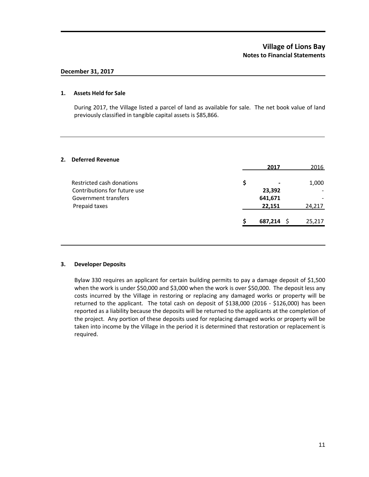## **1. Assets Held for Sale**

During 2017, the Village listed a parcel of land as available for sale. The net book value of land previously classified in tangible capital assets is \$85,866.

# **2. Deferred Revenue**

|                              |   | 2017         | 2016   |
|------------------------------|---|--------------|--------|
| Restricted cash donations    | S | -            | 1,000  |
| Contributions for future use |   | 23,392       |        |
| Government transfers         |   | 641,671      |        |
| Prepaid taxes                |   | 22,151       | 24,217 |
|                              |   | $687,214$ \$ | 25,217 |
|                              |   |              |        |

### **3. Developer Deposits**

Bylaw 330 requires an applicant for certain building permits to pay a damage deposit of \$1,500 when the work is under \$50,000 and \$3,000 when the work is over \$50,000. The deposit less any costs incurred by the Village in restoring or replacing any damaged works or property will be returned to the applicant. The total cash on deposit of \$138,000 (2016 - \$126,000) has been reported as a liability because the deposits will be returned to the applicants at the completion of the project. Any portion of these deposits used for replacing damaged works or property will be taken into income by the Village in the period it is determined that restoration or replacement is required.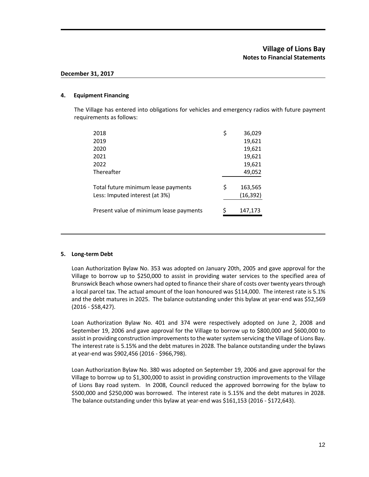### **4. Equipment Financing**

The Village has entered into obligations for vehicles and emergency radios with future payment requirements as follows:

| 2018                                    | \$ | 36,029    |
|-----------------------------------------|----|-----------|
| 2019                                    |    | 19,621    |
| 2020                                    |    | 19,621    |
| 2021                                    |    | 19,621    |
| 2022                                    |    | 19,621    |
| Thereafter                              |    | 49,052    |
|                                         |    |           |
| Total future minimum lease payments     | Ś  | 163,565   |
| Less: Imputed interest (at 3%)          |    | (16, 392) |
|                                         |    |           |
| Present value of minimum lease payments | ς  | 147,173   |

### **5. Long-term Debt**

Loan Authorization Bylaw No. 353 was adopted on January 20th, 2005 and gave approval for the Village to borrow up to \$250,000 to assist in providing water services to the specified area of Brunswick Beach whose owners had opted to finance their share of costs over twenty years through a local parcel tax. The actual amount of the loan honoured was \$114,000. The interest rate is 5.1% and the debt matures in 2025. The balance outstanding under this bylaw at year-end was \$52,569 (2016 - \$58,427).

Loan Authorization Bylaw No. 401 and 374 were respectively adopted on June 2, 2008 and September 19, 2006 and gave approval for the Village to borrow up to \$800,000 and \$600,000 to assist in providing construction improvements to the water system servicing the Village of Lions Bay. The interest rate is 5.15% and the debt matures in 2028. The balance outstanding under the bylaws at year-end was \$902,456 (2016 - \$966,798).

Loan Authorization Bylaw No. 380 was adopted on September 19, 2006 and gave approval for the Village to borrow up to \$1,300,000 to assist in providing construction improvements to the Village of Lions Bay road system. In 2008, Council reduced the approved borrowing for the bylaw to \$500,000 and \$250,000 was borrowed. The interest rate is 5.15% and the debt matures in 2028. The balance outstanding under this bylaw at year-end was \$161,153 (2016 - \$172,643).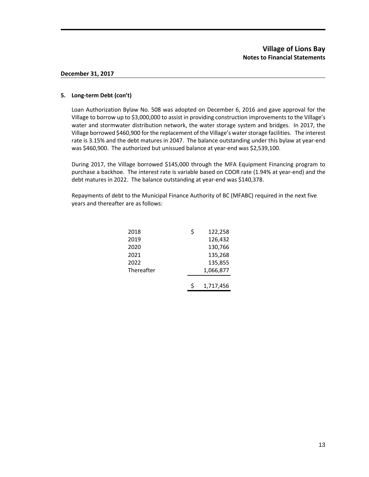## **5. Long-term Debt (con't)**

Loan Authorization Bylaw No. 508 was adopted on December 6, 2016 and gave approval for the Village to borrow up to \$3,000,000 to assist in providing construction improvements to the Village's water and stormwater distribution network, the water storage system and bridges. In 2017, the Village borrowed \$460,900 for the replacement of the Village's water storage facilities. The interest rate is 3.15% and the debt matures in 2047. The balance outstanding under this bylaw at year-end was \$460,900. The authorized but unissued balance at year-end was \$2,539,100.

During 2017, the Village borrowed \$145,000 through the MFA Equipment Financing program to purchase a backhoe. The interest rate is variable based on CDOR rate (1.94% at year-end) and the debt matures in 2022. The balance outstanding at year-end was \$140,378.

Repayments of debt to the Municipal Finance Authority of BC (MFABC) required in the next five years and thereafter are as follows:

| 2018       | \$ | 122,258   |
|------------|----|-----------|
| 2019       |    | 126,432   |
| 2020       |    | 130,766   |
| 2021       |    | 135,268   |
| 2022       |    | 135,855   |
| Thereafter |    | 1,066,877 |
|            |    |           |
|            | Ś. | 1,717,456 |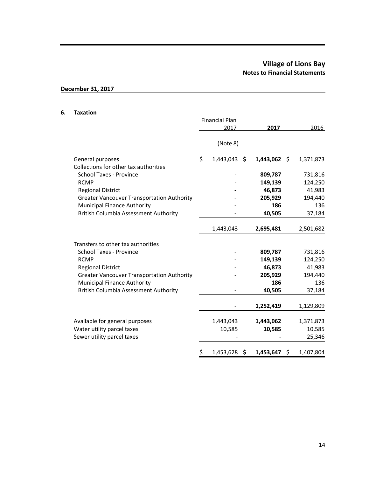# **Village of Lions Bay Notes to Financial Statements**

# **December 31, 2017**

#### **6. Taxation**

|                                                           | <b>Financial Plan</b><br>2017 | 2017            | 2016            |
|-----------------------------------------------------------|-------------------------------|-----------------|-----------------|
|                                                           | (Note 8)                      |                 |                 |
| General purposes<br>Collections for other tax authorities | \$<br>$1,443,043$ \$          | $1,443,062$ \$  | 1,371,873       |
| <b>School Taxes - Province</b>                            |                               | 809,787         | 731,816         |
| <b>RCMP</b>                                               |                               | 149,139         | 124,250         |
| <b>Regional District</b>                                  |                               | 46,873          | 41,983          |
| <b>Greater Vancouver Transportation Authority</b>         |                               | 205,929         | 194,440         |
| Municipal Finance Authority                               |                               | 186             | 136             |
| <b>British Columbia Assessment Authority</b>              |                               | 40,505          | 37,184          |
|                                                           | 1,443,043                     | 2,695,481       | 2,501,682       |
| Transfers to other tax authorities                        |                               |                 |                 |
| <b>School Taxes - Province</b>                            |                               | 809,787         | 731,816         |
| <b>RCMP</b>                                               |                               | 149,139         | 124,250         |
| <b>Regional District</b>                                  |                               | 46,873          | 41,983          |
| <b>Greater Vancouver Transportation Authority</b>         |                               | 205,929         | 194,440         |
| Municipal Finance Authority                               |                               | 186             | 136             |
| <b>British Columbia Assessment Authority</b>              |                               | 40,505          | 37,184          |
|                                                           |                               | 1,252,419       | 1,129,809       |
| Available for general purposes                            | 1,443,043                     | 1,443,062       | 1,371,873       |
| Water utility parcel taxes                                | 10,585                        | 10,585          | 10,585          |
| Sewer utility parcel taxes                                |                               |                 | 25,346          |
|                                                           | \$<br>1,453,628               | \$<br>1,453,647 | \$<br>1,407,804 |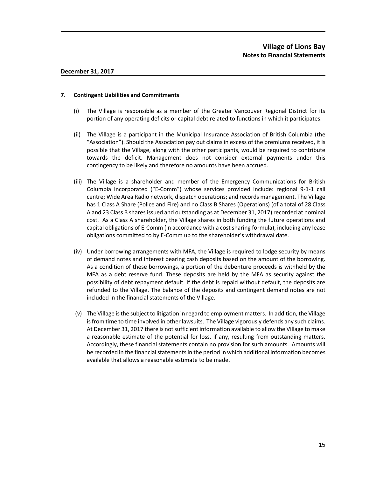## **7. Contingent Liabilities and Commitments**

- (i) The Village is responsible as a member of the Greater Vancouver Regional District for its portion of any operating deficits or capital debt related to functions in which it participates.
- (ii) The Village is a participant in the Municipal Insurance Association of British Columbia (the "Association"). Should the Association pay out claims in excess of the premiums received, it is possible that the Village, along with the other participants, would be required to contribute towards the deficit. Management does not consider external payments under this contingency to be likely and therefore no amounts have been accrued.
- (iii) The Village is a shareholder and member of the Emergency Communications for British Columbia Incorporated ("E-Comm") whose services provided include: regional 9-1-1 call centre; Wide Area Radio network, dispatch operations; and records management. The Village has 1 Class A Share (Police and Fire) and no Class B Shares (Operations) (of a total of 28 Class A and 23 Class B shares issued and outstanding as at December 31, 2017) recorded at nominal cost. As a Class A shareholder, the Village shares in both funding the future operations and capital obligations of E-Comm (in accordance with a cost sharing formula), including any lease obligations committed to by E-Comm up to the shareholder's withdrawal date.
- (iv) Under borrowing arrangements with MFA, the Village is required to lodge security by means of demand notes and interest bearing cash deposits based on the amount of the borrowing. As a condition of these borrowings, a portion of the debenture proceeds is withheld by the MFA as a debt reserve fund. These deposits are held by the MFA as security against the possibility of debt repayment default. If the debt is repaid without default, the deposits are refunded to the Village. The balance of the deposits and contingent demand notes are not included in the financial statements of the Village.
- (v) The Village is the subject to litigation in regard to employment matters. In addition, the Village is from time to time involved in other lawsuits. The Village vigorously defends any such claims. At December 31, 2017 there is not sufficient information available to allow the Village to make a reasonable estimate of the potential for loss, if any, resulting from outstanding matters. Accordingly, these financial statements contain no provision for such amounts. Amounts will be recorded in the financial statements in the period in which additional information becomes available that allows a reasonable estimate to be made.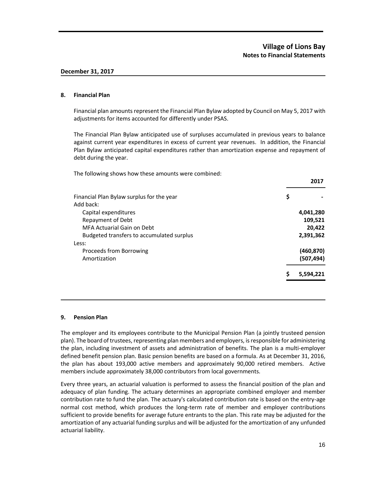## **8. Financial Plan**

Financial plan amounts represent the Financial Plan Bylaw adopted by Council on May 5, 2017 with adjustments for items accounted for differently under PSAS.

The Financial Plan Bylaw anticipated use of surpluses accumulated in previous years to balance against current year expenditures in excess of current year revenues. In addition, the Financial Plan Bylaw anticipated capital expenditures rather than amortization expense and repayment of debt during the year.

The following shows how these amounts were combined:

| Financial Plan Bylaw surplus for the year | \$             |
|-------------------------------------------|----------------|
| Add back:                                 |                |
| Capital expenditures                      | 4,041,280      |
| Repayment of Debt                         | 109,521        |
| MFA Actuarial Gain on Debt                | 20,422         |
| Budgeted transfers to accumulated surplus | 2,391,362      |
| Less:                                     |                |
| Proceeds from Borrowing                   | (460, 870)     |
| Amortization                              | (507, 494)     |
|                                           | S<br>5,594,221 |
|                                           |                |

### **9. Pension Plan**

The employer and its employees contribute to the Municipal Pension Plan (a jointly trusteed pension plan). The board of trustees, representing plan members and employers, is responsible for administering the plan, including investment of assets and administration of benefits. The plan is a multi-employer defined benefit pension plan. Basic pension benefits are based on a formula. As at December 31, 2016, the plan has about 193,000 active members and approximately 90,000 retired members. Active members include approximately 38,000 contributors from local governments.

Every three years, an actuarial valuation is performed to assess the financial position of the plan and adequacy of plan funding. The actuary determines an appropriate combined employer and member contribution rate to fund the plan. The actuary's calculated contribution rate is based on the entry-age normal cost method, which produces the long-term rate of member and employer contributions sufficient to provide benefits for average future entrants to the plan. This rate may be adjusted for the amortization of any actuarial funding surplus and will be adjusted for the amortization of any unfunded actuarial liability.

**2017**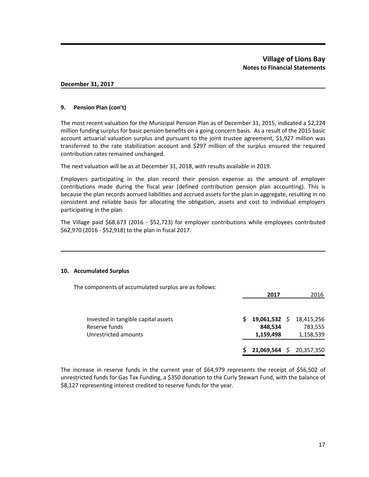#### **9. Pension Plan (con't)**

The most recent valuation for the Municipal Pension Plan as of December 31, 2015, indicated a \$2,224 million funding surplus for basic pension benefits on a going concern basis. As a result of the 2015 basic account actuarial valuation surplus and pursuant to the joint trustee agreement, \$1,927 million was transferred to the rate stabilization account and \$297 million of the surplus ensured the required contribution rates remained unchanged.

The next valuation will be as at December 31, 2018, with results available in 2019.

Employers participating in the plan record their pension expense as the amount of employer contributions made during the fiscal year (defined contribution pension plan accounting). This is because the plan records accrued liabilities and accrued assets for the plan in aggregate, resulting in no consistent and reliable basis for allocating the obligation, assets and cost to individual employers participating in the plan.

The Village paid \$68,673 (2016 - \$52,723) for employer contributions while employees contributed \$62,970 (2016 - \$52,918) to the plan in fiscal 2017.

### **10. Accumulated Surplus**

| The components of accumulated surplus are as follows:                        | 2017 |                                    |    | 2016                               |
|------------------------------------------------------------------------------|------|------------------------------------|----|------------------------------------|
| Invested in tangible capital assets<br>Reserve funds<br>Unrestricted amounts | S    | 19,061,532<br>848,534<br>1,159,498 | S. | 18,415,256<br>783,555<br>1,158,539 |
|                                                                              | s    | 21,069,564                         |    | \$20,357,350                       |

The increase in reserve funds in the current year of \$64,979 represents the receipt of \$56,502 of unrestricted funds for Gas Tax Funding, a \$350 donation to the Curly Stewart Fund, with the balance of \$8,127 representing interest credited to reserve funds for the year.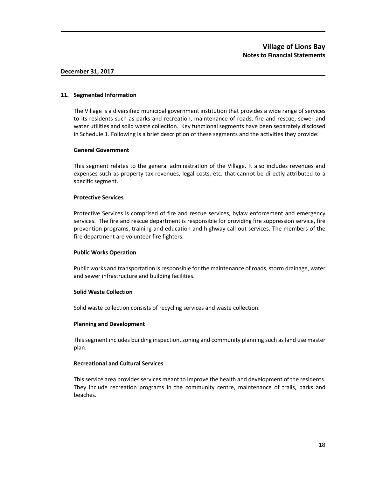### **11. Segmented Information**

The Village is a diversified municipal government institution that provides a wide range of services to its residents such as parks and recreation, maintenance of roads, fire and rescue, sewer and water utilities and solid waste collection. Key functional segments have been separately disclosed in Schedule 1. Following is a brief description of these segments and the activities they provide:

### **General Government**

This segment relates to the general administration of the Village. It also includes revenues and expenses such as property tax revenues, legal costs, etc. that cannot be directly attributed to a specific segment.

## **Protective Services**

Protective Services is comprised of fire and rescue services, bylaw enforcement and emergency services. The fire and rescue department is responsible for providing fire suppression service, fire prevention programs, training and education and highway call-out services. The members of the fire department are volunteer fire fighters.

### **Public Works Operation**

Public works and transportation is responsible for the maintenance of roads, storm drainage, water and sewer infrastructure and building facilities.

### **Solid Waste Collection**

Solid waste collection consists of recycling services and waste collection.

### **Planning and Development**

This segment includes building inspection, zoning and community planning such as land use master plan.

### **Recreational and Cultural Services**

This service area provides services meant to improve the health and development of the residents. They include recreation programs in the community centre, maintenance of trails, parks and beaches.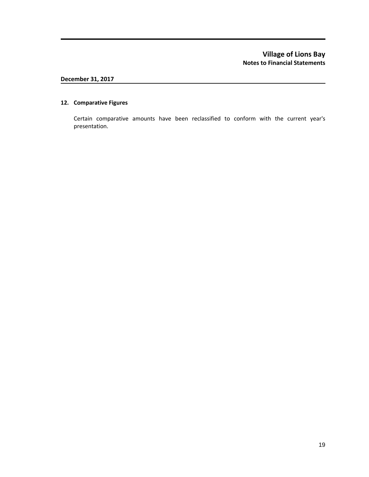# **Village of Lions Bay Notes to Financial Statements**

# **December 31, 2017**

# **12. Comparative Figures**

Certain comparative amounts have been reclassified to conform with the current year's presentation.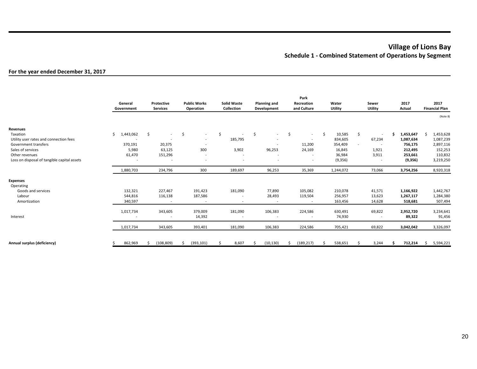# **Village of Lions Bay Schedule 1 - Combined Statement of Operations by Segment**

# **For the year ended December 31, 2017**

|                                             | General<br>Government | Protective<br><b>Services</b> | <b>Public Works</b><br>Operation | <b>Solid Waste</b><br>Collection | <b>Planning and</b><br>Development | Park<br>Recreation<br>and Culture | Water<br>Utility | Sewer<br>Utility         | 2017<br>Actual | 2017<br><b>Financial Plan</b> |
|---------------------------------------------|-----------------------|-------------------------------|----------------------------------|----------------------------------|------------------------------------|-----------------------------------|------------------|--------------------------|----------------|-------------------------------|
|                                             |                       |                               |                                  |                                  |                                    |                                   |                  |                          |                | (Note 8)                      |
| Revenues                                    |                       |                               |                                  |                                  |                                    |                                   |                  |                          |                |                               |
| Taxation                                    | Ś.<br>1,443,062       | -\$<br>$\sim$                 | \$<br>$\sim$                     | \$                               | \$<br>$\sim$                       | $\ddot{\mathsf{S}}$<br>$\sim$     | \$<br>10,585     | Ŝ                        | 1,453,647<br>Ŝ | Ŝ<br>1,453,628                |
| Utility user rates and connection fees      |                       | $\overline{\phantom{a}}$      | $\overline{\phantom{a}}$         | 185,795                          | $\overline{\phantom{a}}$           | $\overline{\phantom{a}}$          | 834,605          | 67,234                   | 1,087,634      | 1,087,239                     |
| Government transfers                        | 370,191               | 20,375                        | $\overline{\phantom{a}}$         |                                  | $\overline{\phantom{a}}$           | 11,200                            | 354,409          | $\overline{\phantom{0}}$ | 756,175        | 2,897,116                     |
| Sales of services                           | 5,980                 | 63,125                        | 300                              | 3,902                            | 96,253                             | 24,169                            | 16,845           | 1,921                    | 212,495        | 152,253                       |
| Other revenues                              | 61,470                | 151,296                       | $\overline{\phantom{a}}$         | $\overline{\phantom{a}}$         | $\overline{\phantom{a}}$           |                                   | 36,984           | 3,911                    | 253,661        | 110,832                       |
| Loss on disposal of tangible capital assets |                       | $\overline{\phantom{0}}$      |                                  | ٠                                | <b>.</b>                           |                                   | (9,356)          |                          | (9,356)        | 3,219,250                     |
|                                             | 1,880,703             | 234,796                       | 300                              | 189,697                          | 96,253                             | 35,369                            | 1,244,072        | 73,066                   | 3,754,256      | 8,920,318                     |
| <b>Expenses</b><br>Operating                |                       |                               |                                  |                                  |                                    |                                   |                  |                          |                |                               |
| Goods and services                          | 132,321               | 227,467                       | 191,423                          | 181,090                          | 77,890                             | 105,082                           | 210,078          | 41,571                   | 1,166,922      | 1,442,767                     |
| Labour                                      | 544,816               | 116,138                       | 187,586                          | $\overline{\phantom{a}}$         | 28,493                             | 119,504                           | 256,957          | 13,623                   | 1,267,117      | 1,284,380                     |
| Amortization                                | 340,597               |                               | $\overline{\phantom{a}}$         |                                  | $\overline{\phantom{a}}$           |                                   | 163,456          | 14,628                   | 518,681        | 507,494                       |
|                                             | 1,017,734             | 343,605                       | 379,009                          | 181,090                          | 106,383                            | 224,586                           | 630,491          | 69,822                   | 2,952,720      | 3,234,641                     |
| Interest                                    |                       | $\sim$                        | 14,392                           |                                  | $\overline{\phantom{a}}$           |                                   | 74,930           | $\overline{\phantom{a}}$ | 89,322         | 91,456                        |
|                                             | 1,017,734             | 343,605                       | 393,401                          | 181,090                          | 106,383                            | 224,586                           | 705,421          | 69,822                   | 3,042,042      | 3,326,097                     |
| Annual surplus (deficiency)                 | 862,969               | (108, 809)                    | (393, 101)<br>\$                 | 8,607                            | (10, 130)                          | (189, 217)<br>Ŝ                   | 538,651<br>Ŝ.    | 3,244                    | 712,214<br>Ŝ   | 5,594,221<br>Ŝ.               |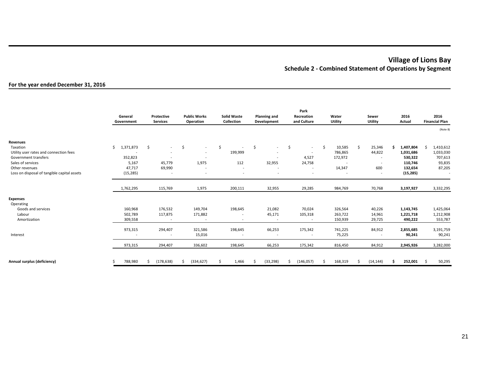# **Village of Lions Bay Schedule 2 - Combined Statement of Operations by Segment**

## **For the year ended December 31, 2016**

|                                                                                    | General<br>Government         | Protective<br><b>Services</b>                                        | <b>Public Works</b><br>Operation                                                       | <b>Solid Waste</b><br>Collection | Planning and<br>Development                                          | Park<br>Recreation<br>and Culture                              | Water<br>Utility                   | Sewer<br><b>Utility</b>                            | 2016<br>Actual                         | 2016<br><b>Financial Plan</b>                |
|------------------------------------------------------------------------------------|-------------------------------|----------------------------------------------------------------------|----------------------------------------------------------------------------------------|----------------------------------|----------------------------------------------------------------------|----------------------------------------------------------------|------------------------------------|----------------------------------------------------|----------------------------------------|----------------------------------------------|
|                                                                                    |                               |                                                                      |                                                                                        |                                  |                                                                      |                                                                |                                    |                                                    |                                        | (Note 8)                                     |
| Revenues                                                                           |                               |                                                                      |                                                                                        |                                  |                                                                      |                                                                |                                    |                                                    |                                        |                                              |
| Taxation<br>Utility user rates and connection fees<br>Government transfers         | Ŝ.<br>1,371,873<br>352,823    | \$<br>$\sim$<br>$\overline{\phantom{a}}$<br>$\overline{\phantom{a}}$ | \$<br>$\overline{\phantom{a}}$<br>$\overline{\phantom{a}}$<br>$\overline{\phantom{a}}$ | \$<br>199,999                    | \$<br>$\sim$<br>$\overline{\phantom{a}}$<br>$\overline{\phantom{a}}$ | \$<br>$\sim$<br>$\sim$<br>4,527                                | \$<br>10,585<br>786,865<br>172,972 | \$<br>25,346<br>44,822<br>$\overline{\phantom{a}}$ | 1,407,804<br>Ś<br>1,031,686<br>530,322 | 1,410,612<br>-S<br>1,033,030<br>707,613      |
| Sales of services<br>Other revenues<br>Loss on disposal of tangible capital assets | 5,167<br>47,717<br>(15, 285)  | 45,779<br>69,990<br>$\overline{a}$                                   | 1,975<br>$\overline{\phantom{a}}$<br>$\overline{\phantom{a}}$                          | 112<br>$\overline{\phantom{a}}$  | 32,955                                                               | 24,758<br>$\overline{\phantom{a}}$<br>$\overline{\phantom{a}}$ | 14,347<br>$\overline{\phantom{a}}$ | 600<br>$\overline{a}$                              | 110,746<br>132,654<br>(15, 285)        | 93,835<br>87,205<br>$\overline{\phantom{a}}$ |
|                                                                                    | 1,762,295                     | 115,769                                                              | 1,975                                                                                  | 200,111                          | 32,955                                                               | 29,285                                                         | 984,769                            | 70,768                                             | 3,197,927                              | 3,332,295                                    |
| <b>Expenses</b><br>Operating                                                       |                               |                                                                      |                                                                                        |                                  |                                                                      |                                                                |                                    |                                                    |                                        |                                              |
| Goods and services<br>Labour<br>Amortization                                       | 160,968<br>502,789<br>309,558 | 176,532<br>117,875                                                   | 149,704<br>171,882<br>$\overline{\phantom{a}}$                                         | 198,645                          | 21,082<br>45,171<br>$\overline{\phantom{a}}$                         | 70,024<br>105,318                                              | 326,564<br>263,722<br>150,939      | 40,226<br>14,961<br>29,725                         | 1,143,745<br>1,221,718<br>490,222      | 1,425,064<br>1,212,908<br>553,787            |
| Interest                                                                           | 973,315                       | 294,407<br>$\overline{\phantom{a}}$                                  | 321,586<br>15,016                                                                      | 198,645                          | 66,253<br>$\overline{\phantom{a}}$                                   | 175,342                                                        | 741,225<br>75,225                  | 84,912                                             | 2,855,685<br>90,241                    | 3,191,759<br>90,241                          |
|                                                                                    | 973,315                       | 294,407                                                              | 336,602                                                                                | 198,645                          | 66,253                                                               | 175,342                                                        | 816,450                            | 84,912                                             | 2,945,926                              | 3,282,000                                    |
| Annual surplus (deficiency)                                                        | 788,980                       | (178, 638)<br>ς                                                      | (334, 627)<br>Ŝ                                                                        | 1,466<br>Ŝ.                      | (33, 298)<br>-Ś                                                      | Ś<br>(146, 057)                                                | 168,319<br>Ś.                      | Ŝ.<br>(14, 144)                                    | 252,001<br>Ś.                          | 50,295<br>-Ŝ                                 |